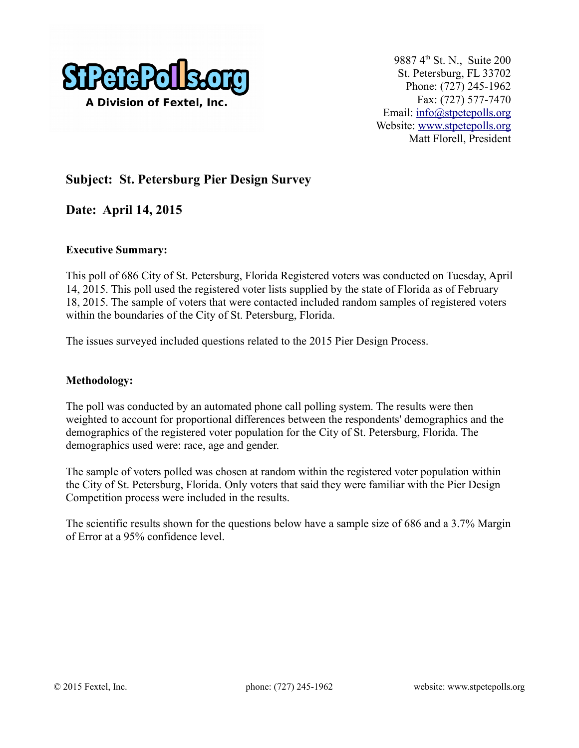

9887 4<sup>th</sup> St. N., Suite 200 St. Petersburg, FL 33702 Phone: (727) 245-1962 Fax: (727) 577-7470 Email: [info@stpetepolls.org](mailto:info@stpetepolls.org) Website: [www.stpetepolls.org](http://www.stpetepolls.org/) Matt Florell, President

## **Subject: St. Petersburg Pier Design Survey**

**Date: April 14, 2015**

#### **Executive Summary:**

This poll of 686 City of St. Petersburg, Florida Registered voters was conducted on Tuesday, April 14, 2015. This poll used the registered voter lists supplied by the state of Florida as of February 18, 2015. The sample of voters that were contacted included random samples of registered voters within the boundaries of the City of St. Petersburg, Florida.

The issues surveyed included questions related to the 2015 Pier Design Process.

#### **Methodology:**

The poll was conducted by an automated phone call polling system. The results were then weighted to account for proportional differences between the respondents' demographics and the demographics of the registered voter population for the City of St. Petersburg, Florida. The demographics used were: race, age and gender.

The sample of voters polled was chosen at random within the registered voter population within the City of St. Petersburg, Florida. Only voters that said they were familiar with the Pier Design Competition process were included in the results.

The scientific results shown for the questions below have a sample size of 686 and a 3.7% Margin of Error at a 95% confidence level.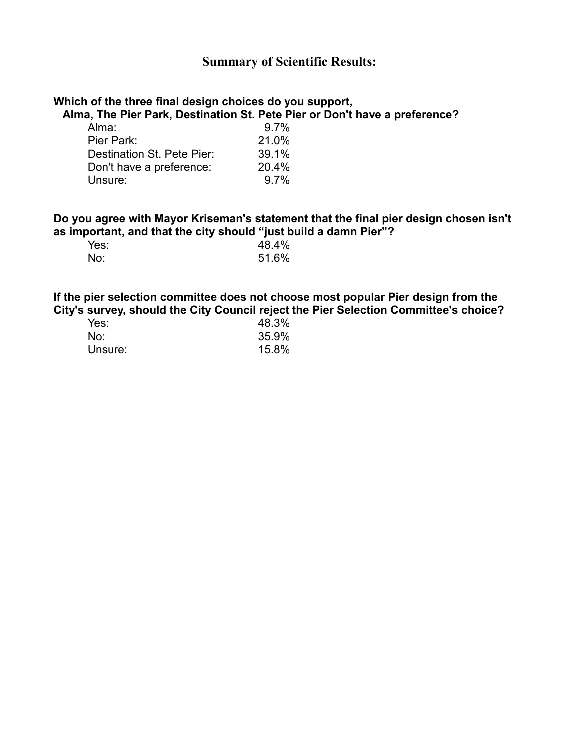### **Summary of Scientific Results:**

## **Which of the three final design choices do you support,**

 **Alma, The Pier Park, Destination St. Pete Pier or Don't have a preference?**

| Alma:                      | 9.7%  |
|----------------------------|-------|
| Pier Park:                 | 21.0% |
| Destination St. Pete Pier: | 39.1% |
| Don't have a preference:   | 20.4% |
| Unsure:                    | 9.7%  |
|                            |       |

#### **Do you agree with Mayor Kriseman's statement that the final pier design chosen isn't as important, and that the city should "just build a damn Pier"?**

| Yes: |  | 48.4% |
|------|--|-------|
| No:  |  | 51.6% |

#### **If the pier selection committee does not choose most popular Pier design from the City's survey, should the City Council reject the Pier Selection Committee's choice?**

| Yes:    | 48.3% |
|---------|-------|
| No:     | 35.9% |
| Unsure: | 15.8% |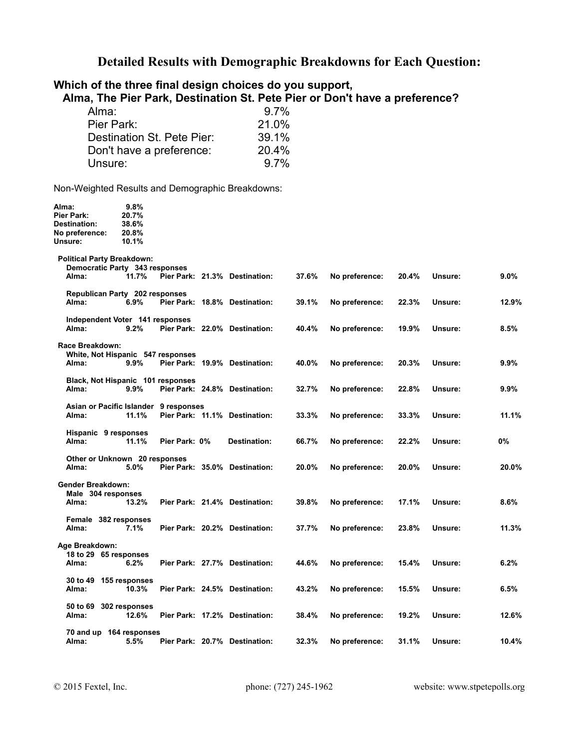# **Detailed Results with Demographic Breakdowns for Each Question:**

| Which of the three final design choices do you support,<br>Alma:<br>Pier Park:<br>Unsure: |                                          | Destination St. Pete Pier:<br>Don't have a preference: | 9.7%<br>21.0%<br>39.1%<br>20.4%<br>9.7% |       | Alma, The Pier Park, Destination St. Pete Pier or Don't have a preference? |       |         |         |
|-------------------------------------------------------------------------------------------|------------------------------------------|--------------------------------------------------------|-----------------------------------------|-------|----------------------------------------------------------------------------|-------|---------|---------|
| Non-Weighted Results and Demographic Breakdowns:                                          |                                          |                                                        |                                         |       |                                                                            |       |         |         |
| Alma:<br>Pier Park:<br><b>Destination:</b><br>No preference:<br>Unsure:                   | 9.8%<br>20.7%<br>38.6%<br>20.8%<br>10.1% |                                                        |                                         |       |                                                                            |       |         |         |
| <b>Political Party Breakdown:</b><br>Democratic Party 343 responses<br>Alma:              | 11.7%                                    |                                                        | Pier Park: 21.3% Destination:           | 37.6% | No preference:                                                             | 20.4% | Unsure: | $9.0\%$ |
| Republican Party 202 responses<br>Alma:                                                   | 6.9%                                     |                                                        | Pier Park: 18.8% Destination:           | 39.1% | No preference:                                                             | 22.3% | Unsure: | 12.9%   |
| Independent Voter 141 responses<br>Alma:                                                  | 9.2%                                     |                                                        | Pier Park: 22.0% Destination:           | 40.4% | No preference:                                                             | 19.9% | Unsure: | 8.5%    |
| Race Breakdown:<br>White, Not Hispanic 547 responses<br>Alma:                             | $9.9\%$                                  |                                                        | Pier Park: 19.9% Destination:           | 40.0% | No preference:                                                             | 20.3% | Unsure: | $9.9\%$ |
| Black, Not Hispanic 101 responses<br>Alma:                                                | $9.9\%$                                  |                                                        | Pier Park: 24.8% Destination:           | 32.7% | No preference:                                                             | 22.8% | Unsure: | 9.9%    |
| Asian or Pacific Islander 9 responses<br>Alma:                                            | 11.1%                                    |                                                        | Pier Park: 11.1% Destination:           | 33.3% | No preference:                                                             | 33.3% | Unsure: | 11.1%   |
| Hispanic 9 responses<br>Alma:                                                             | 11.1%                                    | Pier Park: 0%                                          | Destination:                            | 66.7% | No preference:                                                             | 22.2% | Unsure: | 0%      |
| Other or Unknown 20 responses<br>Alma:                                                    | 5.0%                                     |                                                        | Pier Park: 35.0% Destination:           | 20.0% | No preference:                                                             | 20.0% | Unsure: | 20.0%   |
| <b>Gender Breakdown:</b><br>Male 304 responses<br>Alma:                                   | 13.2%                                    |                                                        | Pier Park: 21.4% Destination:           | 39.8% | No preference:                                                             | 17.1% | Unsure: | $8.6\%$ |
| Female 382 responses<br>Alma:                                                             | 7.1%                                     |                                                        | Pier Park: 20.2% Destination:           | 37.7% | No preference:                                                             | 23.8% | Unsure: | 11.3%   |
| Age Breakdown:<br>18 to 29 65 responses<br>Alma:                                          | $6.2\%$                                  |                                                        | Pier Park: 27.7% Destination:           | 44.6% | No preference:                                                             | 15.4% | Unsure: | 6.2%    |
| 30 to 49 155 responses<br>Alma:                                                           | 10.3%                                    |                                                        | Pier Park: 24.5% Destination:           | 43.2% | No preference:                                                             | 15.5% | Unsure: | 6.5%    |
| 50 to 69<br>Alma:                                                                         | 302 responses<br>12.6%                   |                                                        | Pier Park: 17.2% Destination:           | 38.4% | No preference:                                                             | 19.2% | Unsure: | 12.6%   |
| 70 and up 164 responses<br>Alma:                                                          | $5.5\%$                                  |                                                        | Pier Park: 20.7% Destination:           | 32.3% | No preference:                                                             | 31.1% | Unsure: | 10.4%   |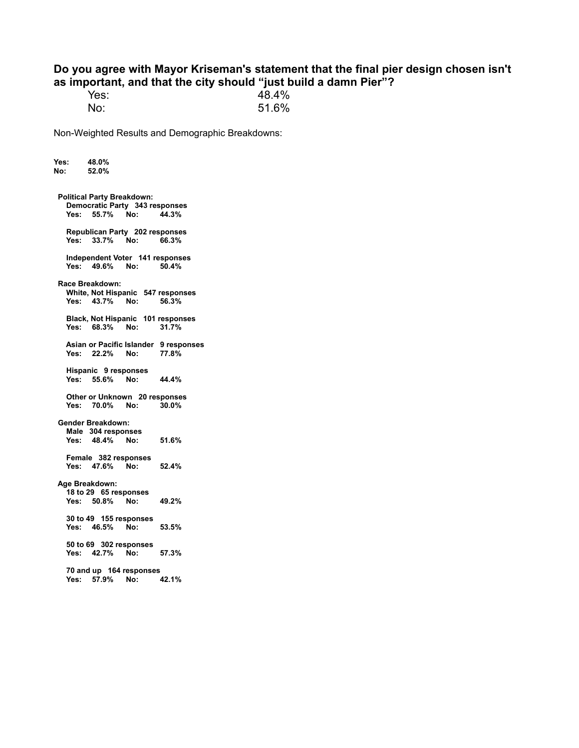#### **Do you agree with Mayor Kriseman's statement that the final pier design chosen isn't as important, and that the city should "just build a damn Pier"?**

| Yes: | 48.4% |
|------|-------|
| No:  | 51.6% |

Non-Weighted Results and Demographic Breakdowns:

**Yes: 48.0% No: 52.0% Political Party Breakdown: Democratic Party 343 responses Yes: 55.7% No: Republican Party 202 responses Yes: 33.7% No: 66.3% Independent Voter 141 responses Yes: 49.6% No: 50.4% Race Breakdown: White, Not Hispanic 547 responses Yes: 43.7% No: 56.3% Black, Not Hispanic 101 responses Yes: 68.3% No: 31.7% Asian or Pacific Islander 9 responses Yes: 22.2% No: 77.8% Hispanic 9 responses Yes: 55.6% No: 44.4% Other or Unknown 20 responses Yes: 70.0% No: 30.0% Gender Breakdown: Male 304 responses Yes: 48.4% No: 51.6% Female 382 responses Yes: 47.6% No: 52.4% Age Breakdown: 18 to 29 65 responses Yes: 50.8% No: 49.2% 30 to 49 155 responses Yes: 46.5% No: 53.5% 50 to 69 302 responses Yes: 42.7% No: 57.3% 70 and up 164 responses Yes: 57.9% No: 42.1%**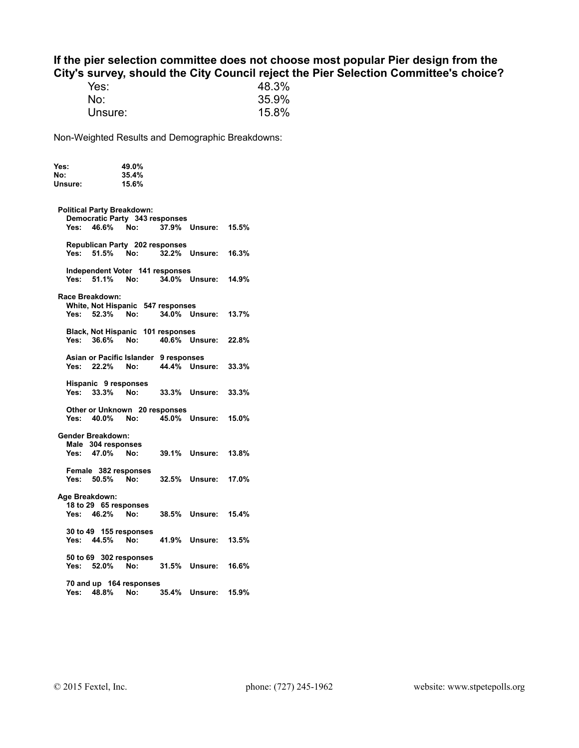#### **If the pier selection committee does not choose most popular Pier design from the City's survey, should the City Council reject the Pier Selection Committee's choice?**

| Yes:    | 48.3% |
|---------|-------|
| No:     | 35.9% |
| Unsure: | 15.8% |

Non-Weighted Results and Demographic Breakdowns:

| Yes:           |                                   | 49.0%                                 |       |                      |       |
|----------------|-----------------------------------|---------------------------------------|-------|----------------------|-------|
| No:            |                                   | 35.4%                                 |       |                      |       |
| Unsure:        |                                   | 15.6%                                 |       |                      |       |
|                |                                   |                                       |       |                      |       |
|                | <b>Political Party Breakdown:</b> |                                       |       |                      |       |
|                |                                   | Democratic Party 343 responses        |       |                      |       |
| Yes:           | 46.6% No:                         |                                       |       | 37.9% Unsure: 15.5%  |       |
|                |                                   |                                       |       |                      |       |
|                |                                   | Republican Party 202 responses        |       |                      |       |
|                | Yes: 51.5%                        | No:                                   |       | 32.2% Unsure: 16.3%  |       |
|                |                                   |                                       |       |                      |       |
|                | Yes: 51.1% No:                    | Independent Voter 141 responses       |       | 34.0% Unsure: 14.9%  |       |
|                |                                   |                                       |       |                      |       |
|                | Race Breakdown:                   |                                       |       |                      |       |
|                |                                   | White, Not Hispanic 547 responses     |       |                      |       |
|                | Yes: 52.3% No:                    |                                       |       | 34.0% Unsure: 13.7%  |       |
|                |                                   |                                       |       |                      |       |
|                |                                   | Black, Not Hispanic 101 responses     |       |                      |       |
|                | Yes: 36.6% No:                    |                                       |       | 40.6% Unsure: 22.8%  |       |
|                |                                   |                                       |       |                      |       |
|                |                                   | Asian or Pacific Islander 9 responses |       |                      |       |
|                | Yes: 22.2% No:                    |                                       |       | 44.4% Unsure: 33.3%  |       |
|                | Hispanic 9 responses              |                                       |       |                      |       |
|                | Yes: 33.3%                        | No:                                   |       | 33.3% Unsure:        | 33.3% |
|                |                                   |                                       |       |                      |       |
|                |                                   | Other or Unknown 20 responses         |       |                      |       |
|                | Yes: 40.0% No:                    |                                       |       | 45.0% Unsure: 15.0%  |       |
|                |                                   |                                       |       |                      |       |
|                | Gender Breakdown:                 |                                       |       |                      |       |
|                | Male 304 responses                |                                       |       |                      |       |
|                | Yes: 47.0% No:                    |                                       |       | <b>39.1% Unsure:</b> | 13.8% |
|                | Female 382 responses              |                                       |       |                      |       |
|                | Yes: 50.5%                        | No:                                   |       | 32.5% Unsure: 17.0%  |       |
|                |                                   |                                       |       |                      |       |
| Age Breakdown: |                                   |                                       |       |                      |       |
|                | 18 to 29 65 responses             |                                       |       |                      |       |
|                | Yes: 46.2%                        | No:                                   |       | 38.5% Unsure: 15.4%  |       |
|                |                                   |                                       |       |                      |       |
|                |                                   | 30 to 49 155 responses                |       |                      |       |
|                | Yes: 44.5% No:                    |                                       |       | 41.9% Unsure: 13.5%  |       |
|                |                                   | 50 to 69 302 responses                |       |                      |       |
|                | Yes: 52.0% No:                    |                                       |       | 31.5% Unsure:        | 16.6% |
|                |                                   |                                       |       |                      |       |
|                |                                   | 70 and up 164 responses               |       |                      |       |
| Yes:           | 48.8%                             | No:                                   | 35.4% | Unsure:              | 15.9% |